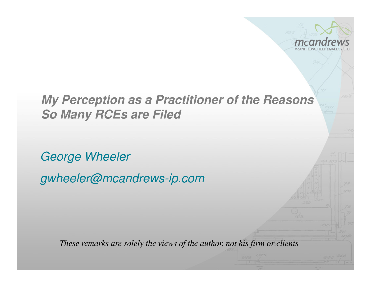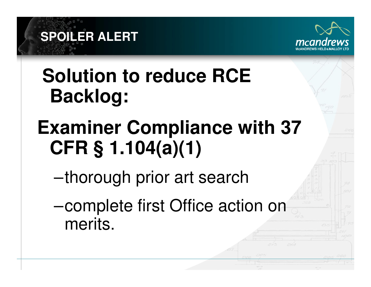

## **Solution to reduce RCE Backlog:**

**SPOILER ALERT** 

# **Examiner Compliance with 37 CFR § 1.104(a)(1)**

- –thorough prior art search
- –complete first Office action on merits.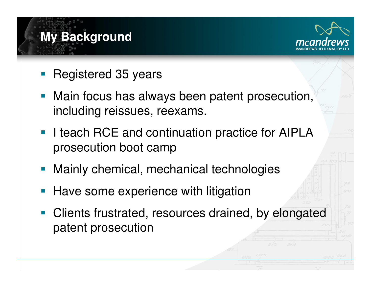# **My Background**



- •Registered 35 years
- • Main focus has always been patent prosecution, including reissues, reexams.
- • I teach RCE and continuation practice for AIPLA prosecution boot camp
- •Mainly chemical, mechanical technologies
- •Have some experience with litigation
- Clients frustrated, resources drained, by elongated patent prosecution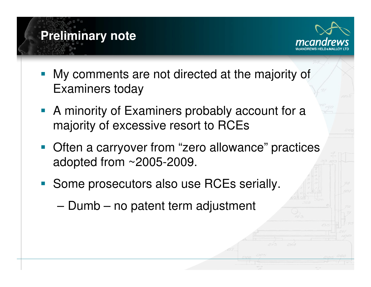



- • My comments are not directed at the majority of Examiners today
- • A minority of Examiners probably account for a majority of excessive resort to RCEs
- Often a carryover from "zero allowance" practices adopted from ~2005-2009.
- **Some prosecutors also use RCEs serially.** 
	- Dumb no patent term adjustment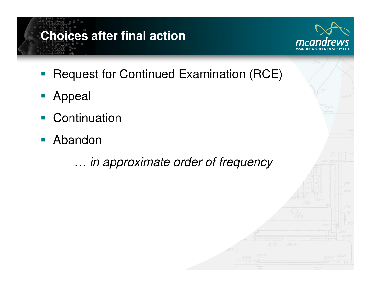### **Choices after final action**



- •Request for Continued Examination (RCE)
- •Appeal
- •**Continuation**
- Abandon

… in approximate order of frequency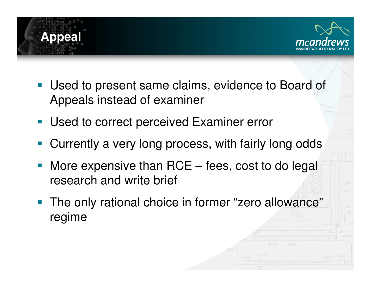



- Used to present same claims, evidence to Board of Appeals instead of examiner
- •Used to correct perceived Examiner error
- •Currently a very long process, with fairly long odds
- • More expensive than RCE – fees, cost to do legal research and write brief
- • The only rational choice in former "zero allowance" regime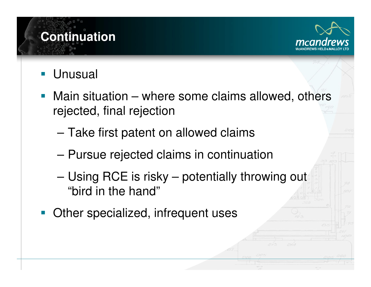

**Continuation** 

- • Main situation – where some claims allowed, others rejected, final rejection
	- Take first patent on allowed claims
	- Pursue rejected claims in continuation
	- Using RCE is risky potentially throwing out "bird in the hand"
- Other specialized, infrequent uses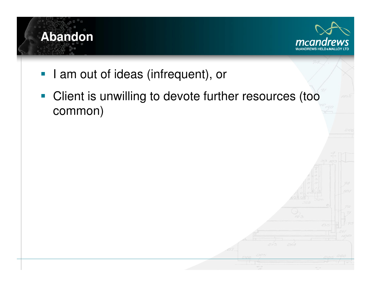

• Client is unwilling to devote further resources (too common)

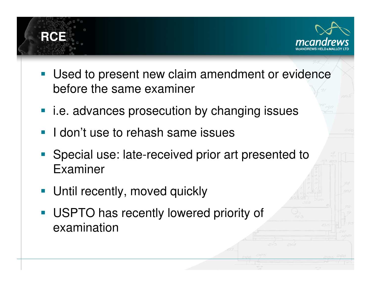



- Used to present new claim amendment or evidence before the same examiner
- i.e. advances prosecution by changing issues
- **I don't use to rehash same issues**
- Special use: late-received prior art presented to Examiner
- •Until recently, moved quickly
- USPTO has recently lowered priority of examination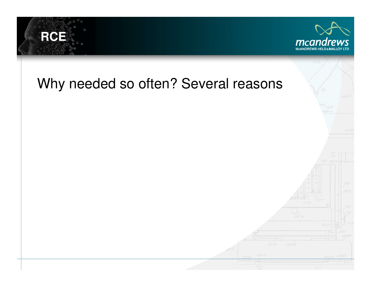

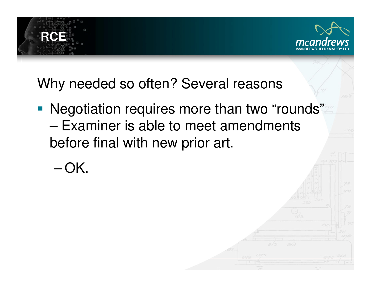

**RCE** 

 $-OK.$ 

• Negotiation requires more than two "rounds" – Examiner is able to meet amendments before final with new prior art.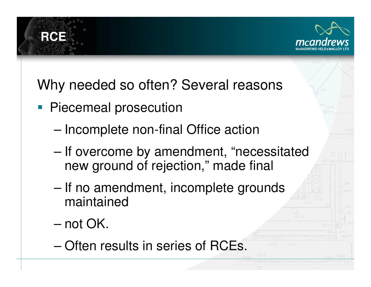

- **Piecemeal prosecution** 
	- Incomplete non-final Office action
	- If overcome by amendment, "necessitated new ground of rejection," made final
	- If no amendment, incomplete grounds maintained
	- not OK.

16(<del>C)</del>:

– Often results in series of RCEs.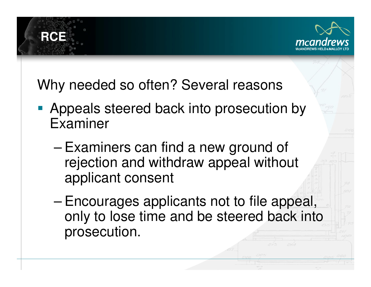

**RCE** 

- Appeals steered back into prosecution by Examiner
	- Examiners can find a new ground of rejection and withdraw appeal without applicant consent
	- Encourages applicants not to file appeal, only to lose time and be steered back into prosecution.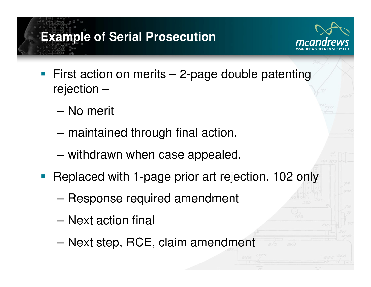#### **Example of Serial Prosecution**



- First action on merits  $-$  2-page double patenting rejection –
	- No merit
	- maintained through final action,
	- withdrawn when case appealed,
- • Replaced with 1-page prior art rejection, 102 only
	- Response required amendment
	- Next action final
	- Next step, RCE, claim amendment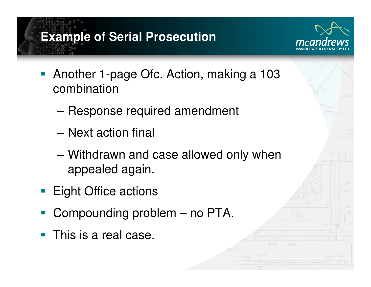#### **Example of Serial Prosecution**



- • Another 1-page Ofc. Action, making a 103 combination
	- Response required amendment
	- Next action final
	- Withdrawn and case allowed only when appealed again.
- •Eight Office actions
- •Compounding problem – no PTA.
- •This is a real case.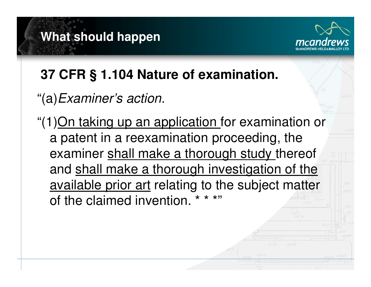# **What should happen**



#### **37 CFR § 1.104 Nature of examination.**

"(a)Examiner's action.

"(1)On taking up an application for examination or a patent in a reexamination proceeding, the examiner shall make a thorough study thereof and shall make a thorough investigation of the available prior art relating to the subject matter of the claimed invention.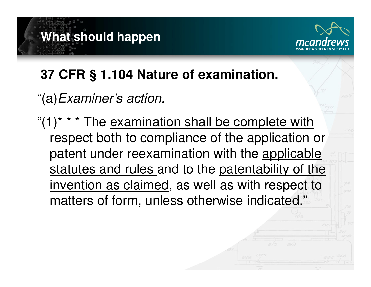# **What should happen**



#### **37 CFR § 1.104 Nature of examination.**

#### "(a)Examiner's action.

" $(1)$ <sup>\*</sup> \* \* The examination shall be complete with respect both to compliance of the application or patent under reexamination with the applicable statutes and rules and to the patentability of the invention as claimed, as well as with respect to matters of form, unless otherwise indicated."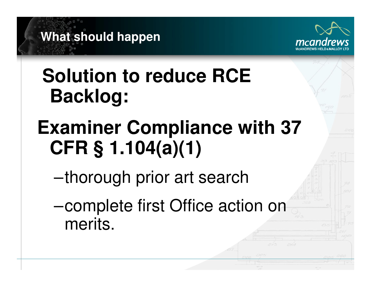



## **Solution to reduce RCE Backlog:**

# **Examiner Compliance with 37 CFR § 1.104(a)(1)**

- –thorough prior art search
- –complete first Office action on merits.